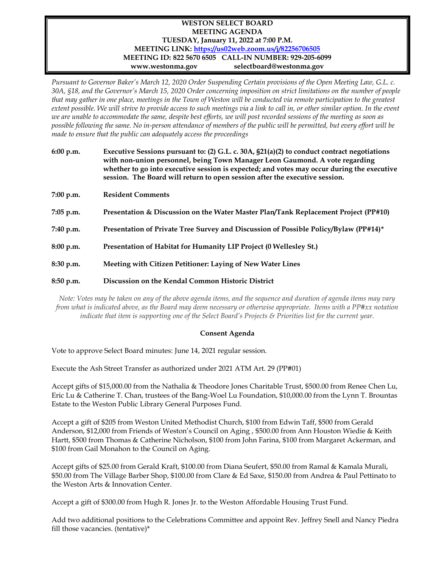## **WESTON SELECT BOARD MEETING AGENDA TUESDAY, January 11, 2022 at 7:00 P.M. MEETING LINK: <https://us02web.zoom.us/j/82256706505> MEETING ID: 822 5670 6505 CALL-IN NUMBER: 929-205-6099 www.westonma.gov selectboard@westonma.gov**

*Pursuant to Governor Baker's March 12, 2020 Order Suspending Certain provisions of the Open Meeting Law, G.L. c. 30A, §18, and the Governor's March 15, 2020 Order concerning imposition on strict limitations on the number of people that may gather in one place, meetings in the Town of Weston will be conducted via remote participation to the greatest extent possible. We will strive to provide access to such meetings via a link to call in, or other similar option. In the event*  we are unable to accommodate the same, despite best efforts, we will post recorded sessions of the meeting as soon as *possible following the same. No in-person attendance of members of the public will be permitted, but every effort will be made to ensure that the public can adequately access the proceedings*

| 6:00 p.m.   | Executive Sessions pursuant to: (2) G.L. c. 30A, $\S21(a)(2)$ to conduct contract negotiations<br>with non-union personnel, being Town Manager Leon Gaumond. A vote regarding<br>whether to go into executive session is expected; and votes may occur during the executive<br>session. The Board will return to open session after the executive session. |
|-------------|------------------------------------------------------------------------------------------------------------------------------------------------------------------------------------------------------------------------------------------------------------------------------------------------------------------------------------------------------------|
| $7:00$ p.m. | <b>Resident Comments</b>                                                                                                                                                                                                                                                                                                                                   |
| $7:05$ p.m. | Presentation & Discussion on the Water Master Plan/Tank Replacement Project (PP#10)                                                                                                                                                                                                                                                                        |
| 7:40 p.m.   | Presentation of Private Tree Survey and Discussion of Possible Policy/Bylaw (PP#14)*                                                                                                                                                                                                                                                                       |
| 8:00 p.m.   | Presentation of Habitat for Humanity LIP Project (0 Wellesley St.)                                                                                                                                                                                                                                                                                         |
| 8:30 p.m.   | Meeting with Citizen Petitioner: Laying of New Water Lines                                                                                                                                                                                                                                                                                                 |
| 8:50 p.m.   | Discussion on the Kendal Common Historic District                                                                                                                                                                                                                                                                                                          |

*Note: Votes may be taken on any of the above agenda items, and the sequence and duration of agenda items may vary from what is indicated above, as the Board may deem necessary or otherwise appropriate. Items with a PP#xx notation indicate that item is supporting one of the Select Board's Projects & Priorities list for the current year.* 

## **Consent Agenda**

Vote to approve Select Board minutes: June 14, 2021 regular session.

Execute the Ash Street Transfer as authorized under 2021 ATM Art. 29 (PP#01)

Accept gifts of \$15,000.00 from the Nathalia & Theodore Jones Charitable Trust, \$500.00 from Renee Chen Lu, Eric Lu & Catherine T. Chan, trustees of the Bang-Woel Lu Foundation, \$10,000.00 from the Lynn T. Brountas Estate to the Weston Public Library General Purposes Fund.

Accept a gift of \$205 from Weston United Methodist Church, \$100 from Edwin Taff, \$500 from Gerald Anderson, \$12,000 from Friends of Weston's Council on Aging , \$500.00 from Ann Houston Wiedie & Keith Hartt, \$500 from Thomas & Catherine Nicholson, \$100 from John Farina, \$100 from Margaret Ackerman, and \$100 from Gail Monahon to the Council on Aging.

Accept gifts of \$25.00 from Gerald Kraft, \$100.00 from Diana Seufert, \$50.00 from Ramal & Kamala Murali, \$50.00 from The Village Barber Shop, \$100.00 from Clare & Ed Saxe, \$150.00 from Andrea & Paul Pettinato to the Weston Arts & Innovation Center.

Accept a gift of \$300.00 from Hugh R. Jones Jr. to the Weston Affordable Housing Trust Fund.

Add two additional positions to the Celebrations Committee and appoint Rev. Jeffrey Snell and Nancy Piedra fill those vacancies. (tentative)\*